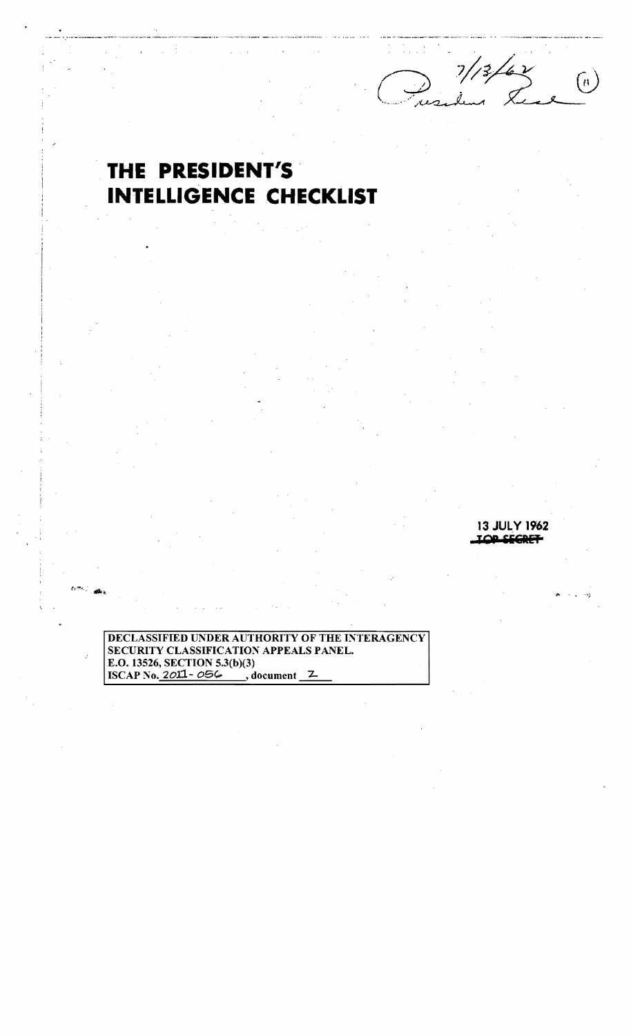.\_-\_.\_-------- .-\_.\_-....\_\_ .. \_. --.-..»- »-"~'--'---'--'-  $\frac{7}{3}/2$  $\left[ n\right]$ 

## **THE PRESIDENT'S' INTELLIGENCE CHECKLIST**

**13 JUL LOP SEGRET** 

DECLASSIFIED UNDER AUTHORITY OF THE INTERAGENCY SECURITY CLASSIFICATION APPEALS PANEL. E.O. 13526, SECTION 5.3(b)(3)<br>ISCAP No. 2*0*11 - *056* (a), document <u>2</u>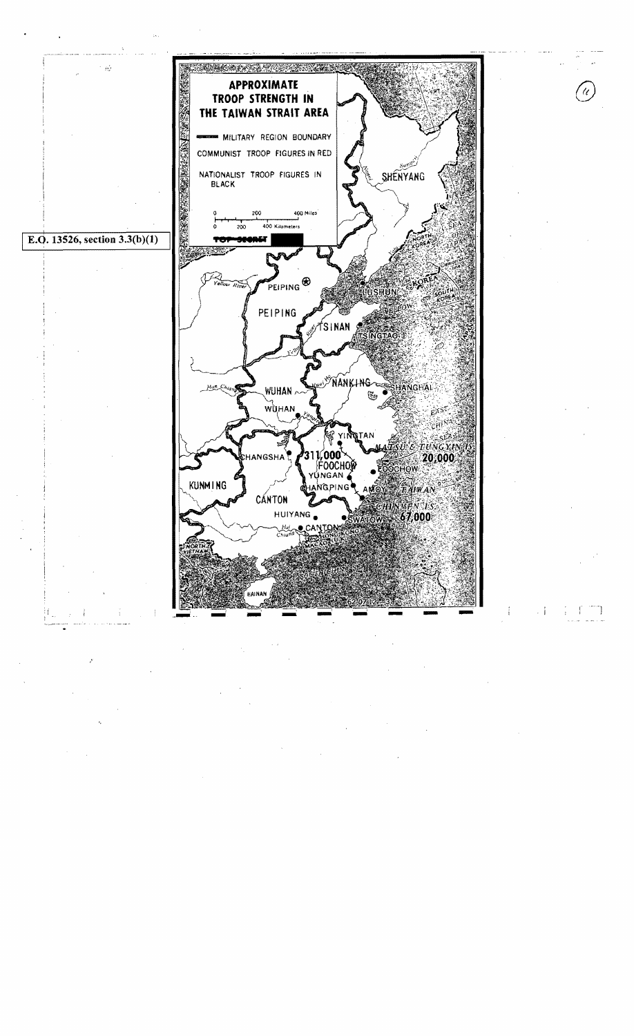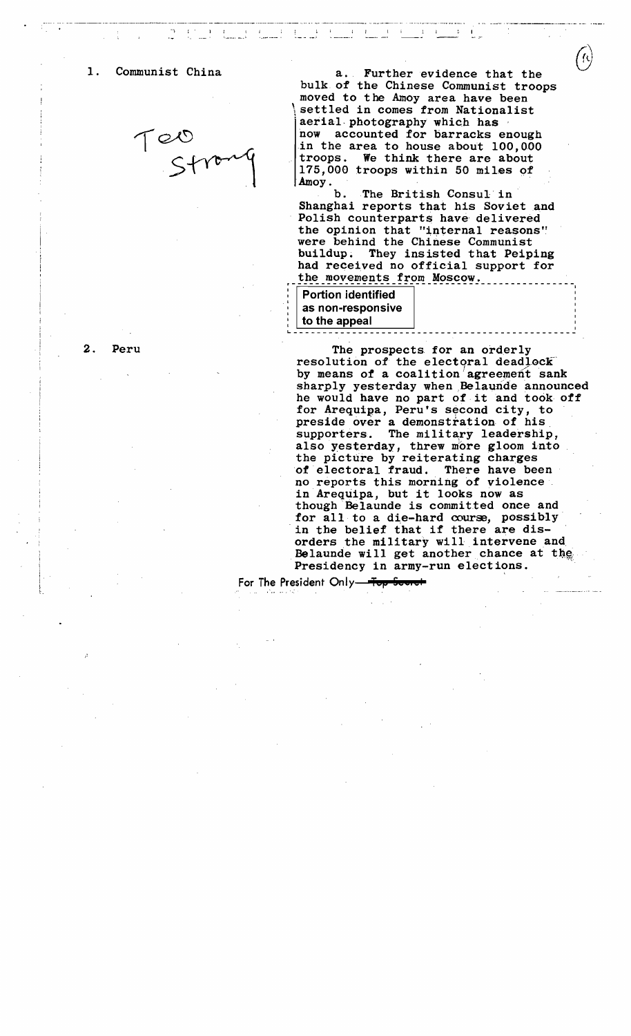

1. Communist China a. Further evidence that the bulk of the Chinese Communist troops moved to the Amoy area have been settled in comes from Nationalist aerial photography which has now accounted for barracks enough in the area to house about 100,000 troops. We think there are about 175,000 troops within 50 miles of  $A$ mov.

 $\bigcirc$ \

Amoy.<br>b. The British Consul in<br>Shanghai reports that his Soviet and Polish counterparts have delivered the opinion that "internal reasons" were behind the Chinese Communist buildup. They insisted that Peiping had received no official support for the movements from Moscow.

| <b>Portion identified</b> |  |
|---------------------------|--|
| as non-responsive         |  |
| to the appeal             |  |
|                           |  |

2. Peru The prospects for an orderly resolution of the electoral deadlock by means of a coalition agreement sank sharply yesterday when Belaunde announced he would have no part of it and took off for Arequipa, Peru's second city, to preside over a demonstration of his supporters. The military leadership, also yesterday, threw more gloom into the picture by reiterating charges<br>of electoral fraud. There have been of electoral fraud. no reports this morning of violence in Arequipa, but it looks now as though Belaunde is committed once and for all to a die-hard course, possibly in the belief that if there are disorders the military will intervene and. Belaunde will get another chance at the Presidency in army-run elections. In the belief that if there are dis-<br>orders the military will intervene and<br>Belaunde will get another chance at the<br>Presidency in army-run elections.<br>sident Only

For The President Only-Top Scoret

 $\sigma$  and  $\tau$  is a contract of the second contract of  $\tilde{\tau}$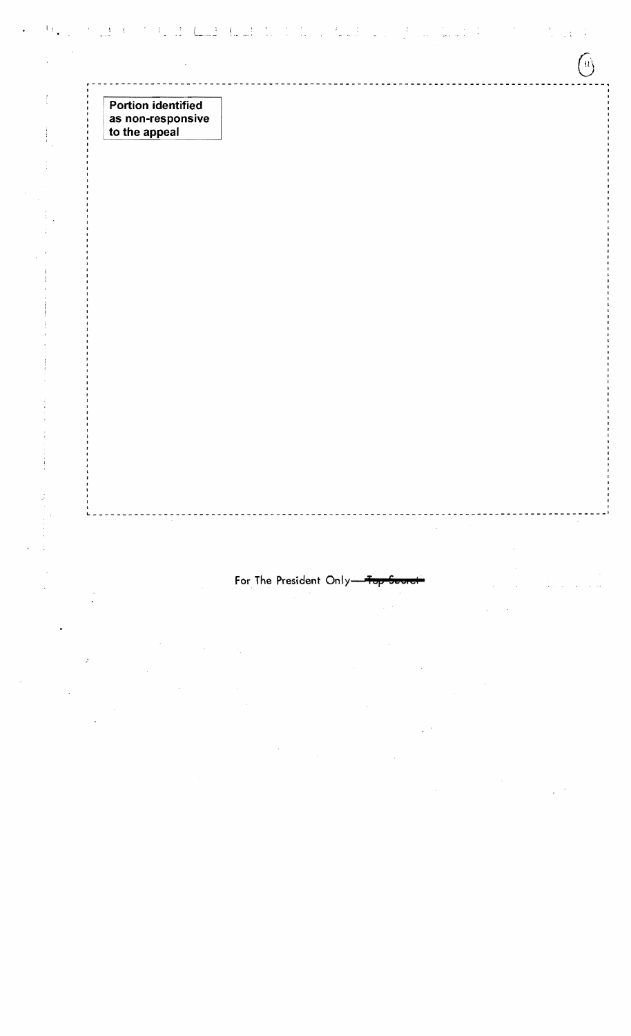|                                    | the problem of the Boundary and the following and specifical distribution of the state of |  |  |
|------------------------------------|-------------------------------------------------------------------------------------------|--|--|
|                                    |                                                                                           |  |  |
| <b>Portion identified</b>          |                                                                                           |  |  |
| as non-responsive<br>to the appeal |                                                                                           |  |  |
|                                    |                                                                                           |  |  |
|                                    |                                                                                           |  |  |
|                                    |                                                                                           |  |  |
|                                    |                                                                                           |  |  |
|                                    |                                                                                           |  |  |
|                                    |                                                                                           |  |  |
|                                    |                                                                                           |  |  |
|                                    |                                                                                           |  |  |
|                                    |                                                                                           |  |  |
|                                    |                                                                                           |  |  |
|                                    |                                                                                           |  |  |
|                                    |                                                                                           |  |  |
|                                    |                                                                                           |  |  |
|                                    |                                                                                           |  |  |
|                                    |                                                                                           |  |  |
|                                    |                                                                                           |  |  |
|                                    |                                                                                           |  |  |
|                                    |                                                                                           |  |  |
|                                    |                                                                                           |  |  |
|                                    | For The President Only-Top-Sear                                                           |  |  |
|                                    |                                                                                           |  |  |
|                                    |                                                                                           |  |  |
|                                    |                                                                                           |  |  |

 $\label{eq:2.1} \mathcal{F}_{\mathcal{A}}(t) = \frac{1}{2} \sum_{i=1}^{n} \frac{1}{2} \sum_{j=1}^{n} \frac{1}{2} \sum_{j=1}^{n} \frac{1}{2} \sum_{j=1}^{n} \frac{1}{2} \sum_{j=1}^{n} \frac{1}{2} \sum_{j=1}^{n} \frac{1}{2} \sum_{j=1}^{n} \frac{1}{2} \sum_{j=1}^{n} \frac{1}{2} \sum_{j=1}^{n} \frac{1}{2} \sum_{j=1}^{n} \frac{1}{2} \sum_{j=1}^{n} \frac{1}{2} \$ 

 $\mathcal{L}^{\text{max}}_{\text{max}}$  $\mathcal{L}^{\text{max}}_{\text{max}}$  and  $\mathcal{L}^{\text{max}}_{\text{max}}$ 

 $\label{eq:2.1} \begin{split} \mathcal{L}_{\text{max}}(\mathbf{r}) = \mathcal{L}_{\text{max}}(\mathbf{r}) \mathcal{L}_{\text{max}}(\mathbf{r}) \mathcal{L}_{\text{max}}(\mathbf{r}) \mathcal{L}_{\text{max}}(\mathbf{r}) \mathcal{L}_{\text{max}}(\mathbf{r}) \mathcal{L}_{\text{max}}(\mathbf{r}) \mathcal{L}_{\text{max}}(\mathbf{r}) \mathcal{L}_{\text{max}}(\mathbf{r}) \mathcal{L}_{\text{max}}(\mathbf{r}) \mathcal{L}_{\text{max}}(\mathbf{r}) \mathcal{L}_{\text{max}}(\mathbf{r}) \$ 

 $\mathcal{L}^{(1,2)}$  and  $\label{eq:2.1} \frac{1}{\sqrt{2\pi}}\int_{\mathbb{R}^3}\frac{1}{\sqrt{2\pi}}\int_{\mathbb{R}^3}\frac{1}{\sqrt{2\pi}}\int_{\mathbb{R}^3}\frac{1}{\sqrt{2\pi}}\int_{\mathbb{R}^3}\frac{1}{\sqrt{2\pi}}\int_{\mathbb{R}^3}\frac{1}{\sqrt{2\pi}}\frac{1}{\sqrt{2\pi}}\int_{\mathbb{R}^3}\frac{1}{\sqrt{2\pi}}\frac{1}{\sqrt{2\pi}}\frac{1}{\sqrt{2\pi}}\int_{\mathbb{R}^3}\frac{1}{\sqrt{2\pi}}\frac$  $\frac{1}{\sqrt{2}}\left(\frac{1}{\sqrt{2}}\right)^{2}$ 

 $\label{eq:2.1} \mathcal{L}(\mathcal{F}) = \mathcal{L}(\mathcal{F})$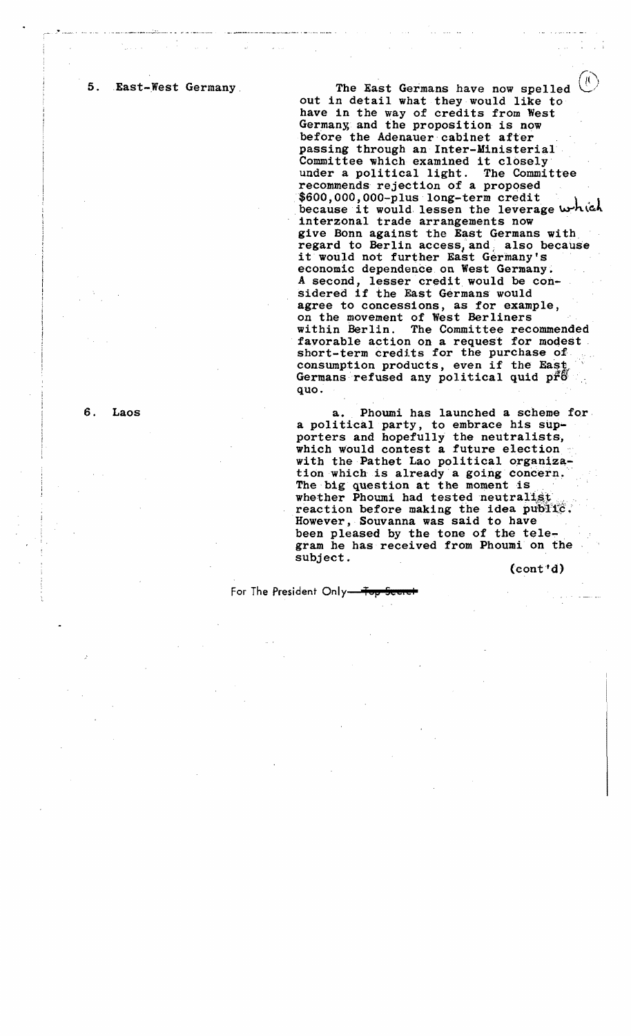5. East-West Germany

The East Germans have now spelled  $($ out in detail what they would like to have in the way of credits from West Germany and the proposition is now before the Adenauer cabinet after passing through an Inter-Ministerial Committee which examined it closely under a political light. The Committee recommends rejection of a proposed<br>\$600,000,000-plus long-term credit because it would lessen the leverage  $w-h\in$ interzonal trade arrangements now ' give Bonn against the East Germans with regard to Berlin access, and also because it would not further East Germany's economic dependence on West Germany. A second, lesser credit would be considered if the East Germans would agree to concessions, as for example, on the movement of West Berliners The Committee recommended favorable action on a request for modest short-term credits for the purchase of consumption products, even if the East Germans refused any political quid p $f\delta$ . quo.

a. Phoumi has launched a scheme for, a political party, to embrace his supporters and hopefully the neutralists, which would contest a future election with the Pathet Lao political organization which is already a going concern. The big question at the moment is whether Phoumi had tested neutralist reaction before making the idea public. However, Souvanna was said to have been pleased by the tone of the tele-<br>gram he has received from Phoumi on the subject. (cont'd)

For The President Only<del> Top Scuret</del>

6. Laos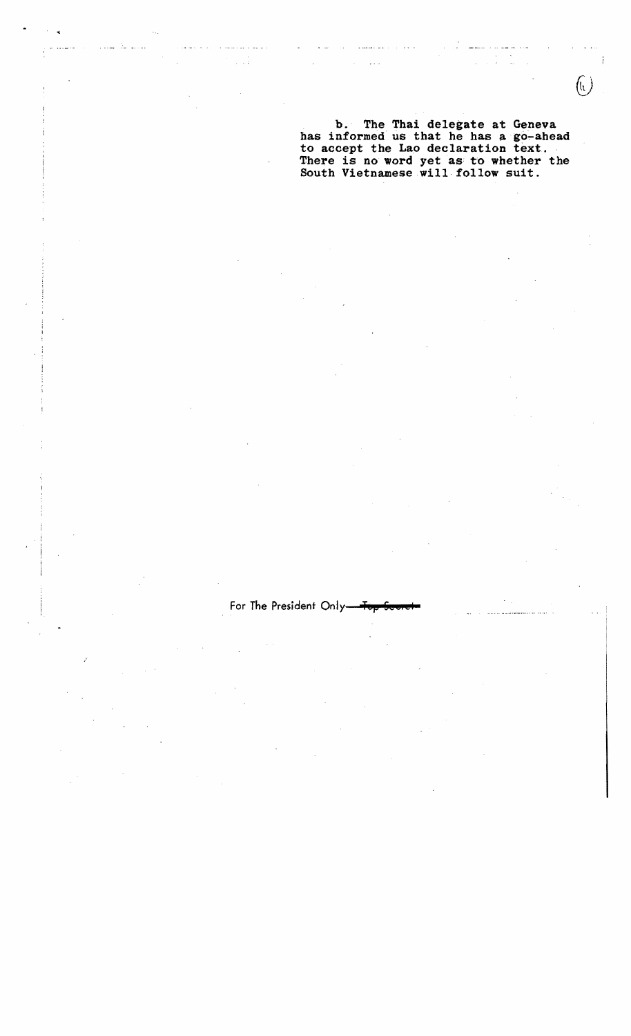b. The Thai delegate at Geneva has informed us that he has a go-ahead to accept the Lao declaration text. There is no word yet as to whether the South Vietnamese will· follow suit.

 $\bigcirc$ 

For The President Only-For